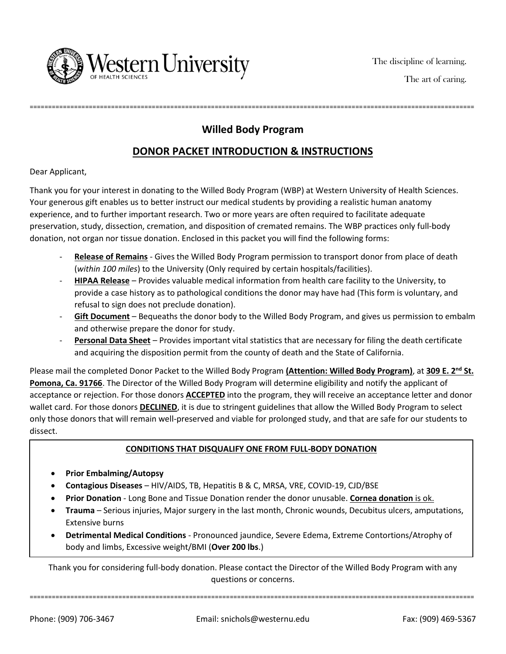

## **Willed Body Program**

========================================================================================================================

## **DONOR PACKET INTRODUCTION & INSTRUCTIONS**

Dear Applicant,

Thank you for your interest in donating to the Willed Body Program (WBP) at Western University of Health Sciences. Your generous gift enables us to better instruct our medical students by providing a realistic human anatomy experience, and to further important research. Two or more years are often required to facilitate adequate preservation, study, dissection, cremation, and disposition of cremated remains. The WBP practices only full-body donation, not organ nor tissue donation. Enclosed in this packet you will find the following forms:

- **Release of Remains** Gives the Willed Body Program permission to transport donor from place of death (*within 100 miles*) to the University (Only required by certain hospitals/facilities).
- **HIPAA Release** Provides valuable medical information from health care facility to the University, to provide a case history as to pathological conditions the donor may have had (This form is voluntary, and refusal to sign does not preclude donation).
- Gift Document Bequeaths the donor body to the Willed Body Program, and gives us permission to embalm and otherwise prepare the donor for study.
- **Personal Data Sheet** Provides important vital statistics that are necessary for filing the death certificate and acquiring the disposition permit from the county of death and the State of California.

Please mail the completed Donor Packet to the Willed Body Program (Attention: Willed Body Program), at 309 E. 2<sup>nd</sup> St. **Pomona, Ca. 91766**. The Director of the Willed Body Program will determine eligibility and notify the applicant of acceptance or rejection. For those donors **ACCEPTED** into the program, they will receive an acceptance letter and donor wallet card. For those donors **DECLINED**, it is due to stringent guidelines that allow the Willed Body Program to select only those donors that will remain well-preserved and viable for prolonged study, and that are safe for our students to dissect.

### **CONDITIONS THAT DISQUALIFY ONE FROM FULL-BODY DONATION**

- **Prior Embalming/Autopsy**
- **Contagious Diseases** HIV/AIDS, TB, Hepatitis B & C, MRSA, VRE, COVID-19, CJD/BSE
- **Prior Donation** Long Bone and Tissue Donation render the donor unusable. **Cornea donation** is ok.
- **Trauma**  Serious injuries, Major surgery in the last month, Chronic wounds, Decubitus ulcers, amputations, Extensive burns
- **Detrimental Medical Conditions** Pronounced jaundice, Severe Edema, Extreme Contortions/Atrophy of body and limbs, Excessive weight/BMI (**Over 200 lbs**.)

Thank you for considering full-body donation. Please contact the Director of the Willed Body Program with any questions or concerns.

========================================================================================================================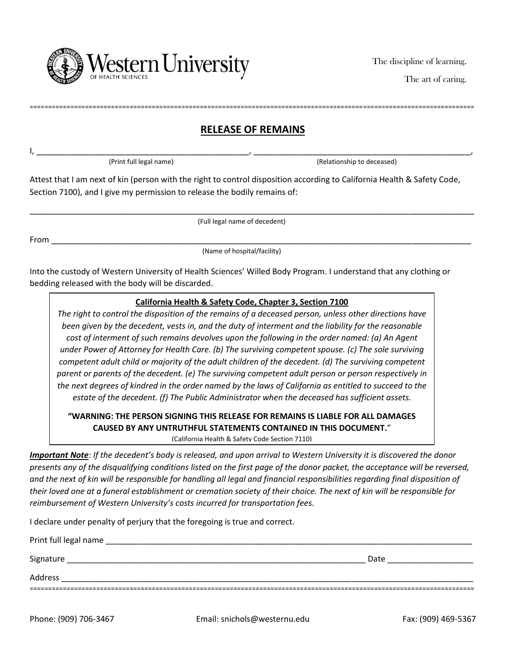

The art of caring.

## **RELEASE OF REMAINS**

========================================================================================================================

I, \_\_\_\_\_\_\_\_\_\_\_\_\_\_\_\_\_\_\_\_\_\_\_\_\_\_\_\_\_\_\_\_\_\_\_\_\_\_\_\_\_\_\_, \_\_\_\_\_\_\_\_\_\_\_\_\_\_\_\_\_\_\_\_\_\_\_\_\_\_\_\_\_\_\_\_\_\_\_\_\_\_\_\_\_\_\_\_,

(Print full legal name) (Relationship to deceased)

Attest that I am next of kin (person with the right to control disposition according to California Health & Safety Code, Section 7100), and I give my permission to release the bodily remains of:

\_\_\_\_\_\_\_\_\_\_\_\_\_\_\_\_\_\_\_\_\_\_\_\_\_\_\_\_\_\_\_\_\_\_\_\_\_\_\_\_\_\_\_\_\_\_\_\_\_\_\_\_\_\_\_\_\_\_\_\_\_\_\_\_\_\_\_\_\_\_\_\_\_\_\_\_\_\_\_\_\_\_\_\_\_\_\_\_\_\_

(Full legal name of decedent)

From \_\_\_\_\_\_\_\_\_\_\_\_\_\_\_\_\_\_\_\_\_\_\_\_\_\_\_\_\_\_\_\_\_\_\_\_\_\_\_\_\_\_\_\_\_\_\_\_\_\_\_\_\_\_\_\_\_\_\_\_\_\_\_\_\_\_\_\_\_\_\_\_\_\_\_\_\_\_\_\_\_\_\_\_\_

(Name of hospital/facility)

Into the custody of Western University of Health Sciences' Willed Body Program. I understand that any clothing or bedding released with the body will be discarded.

### **California Health & Safety Code, Chapter 3, Section 7100**

*The right to control the disposition of the remains of a deceased person, unless other directions have been given by the decedent, vests in, and the duty of interment and the liability for the reasonable cost of interment of such remains devolves upon the following in the order named: (a) An Agent under Power of Attorney for Health Care. (b) The surviving competent spouse. (c) The sole surviving competent adult child or majority of the adult children of the decedent. (d) The surviving competent parent or parents of the decedent. (e) The surviving competent adult person or person respectively in the next degrees of kindred in the order named by the laws of California as entitled to succeed to the estate of the decedent. (f) The Public Administrator when the deceased has sufficient assets.*

# **"WARNING: THE PERSON SIGNING THIS RELEASE FOR REMAINS IS LIABLE FOR ALL DAMAGES CAUSED BY ANY UNTRUTHFUL STATEMENTS CONTAINED IN THIS DOCUMENT.**"

(California Health & Safety Code Section 7110)

*Important Note: If the decedent's body is released, and upon arrival to Western University it is discovered the donor presents any of the disqualifying conditions listed on the first page of the donor packet, the acceptance will be reversed, and the next of kin will be responsible for handling all legal and financial responsibilities regarding final disposition of their loved one at a funeral establishment or cremation society of their choice. The next of kin will be responsible for reimbursement of Western University's costs incurred for transportation fees.*

I declare under penalty of perjury that the foregoing is true and correct.

| Print full legal name |      |  |
|-----------------------|------|--|
| Signature             | Date |  |
| Address               |      |  |
|                       |      |  |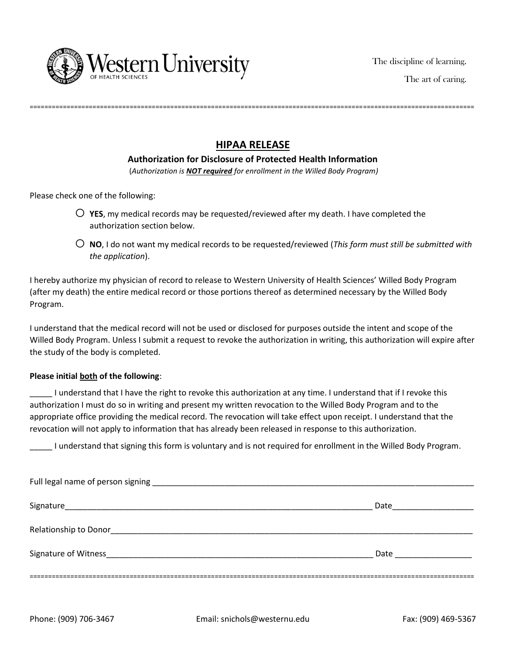

## **HIPAA RELEASE**

========================================================================================================================

#### **Authorization for Disclosure of Protected Health Information**

(*Authorization is NOT required for enrollment in the Willed Body Program)*

Please check one of the following:

- $\bigcirc$  **YES**, my medical records may be requested/reviewed after my death. I have completed the authorization section below.
- o **NO**, I do not want my medical records to be requested/reviewed (*This form must still be submitted with the application*).

I hereby authorize my physician of record to release to Western University of Health Sciences' Willed Body Program (after my death) the entire medical record or those portions thereof as determined necessary by the Willed Body Program.

I understand that the medical record will not be used or disclosed for purposes outside the intent and scope of the Willed Body Program. Unless I submit a request to revoke the authorization in writing, this authorization will expire after the study of the body is completed.

#### **Please initial both of the following**:

\_\_\_\_\_ I understand that I have the right to revoke this authorization at any time. I understand that if I revoke this authorization I must do so in writing and present my written revocation to the Willed Body Program and to the appropriate office providing the medical record. The revocation will take effect upon receipt. I understand that the revocation will not apply to information that has already been released in response to this authorization.

\_\_\_\_\_ I understand that signing this form is voluntary and is not required for enrollment in the Willed Body Program.

| Signature             | Date                                                                                                          |
|-----------------------|---------------------------------------------------------------------------------------------------------------|
| Relationship to Donor |                                                                                                               |
| Signature of Witness  | Date and the state of the state of the state of the state of the state of the state of the state of the state |
|                       |                                                                                                               |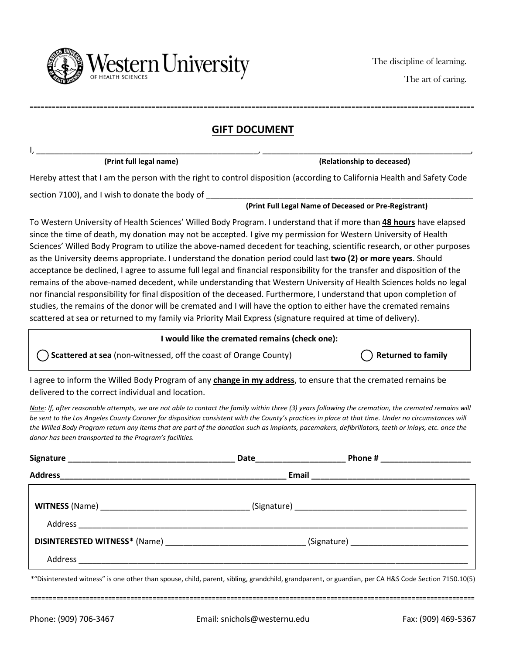

The art of caring.

## **GIFT DOCUMENT**

I, \_\_\_\_\_\_\_\_\_\_\_\_\_\_\_\_\_\_\_\_\_\_\_\_\_\_\_\_\_\_\_\_\_\_\_\_\_\_\_\_\_\_\_\_\_\_\_\_\_, \_\_\_\_\_\_\_\_\_\_\_\_\_\_\_\_\_\_\_\_\_\_\_\_\_\_\_\_\_\_\_\_\_\_\_\_\_\_\_\_\_\_\_\_\_\_,

========================================================================================================================

 **(Print full legal name) (Relationship to deceased)**

Hereby attest that I am the person with the right to control disposition (according to California Health and Safety Code

section 7100), and I wish to donate the body of

#### **(Print Full Legal Name of Deceased or Pre-Registrant)**

To Western University of Health Sciences' Willed Body Program. I understand that if more than **48 hours** have elapsed since the time of death, my donation may not be accepted. I give my permission for Western University of Health Sciences' Willed Body Program to utilize the above-named decedent for teaching, scientific research, or other purposes as the University deems appropriate. I understand the donation period could last **two (2) or more years**. Should acceptance be declined, I agree to assume full legal and financial responsibility for the transfer and disposition of the remains of the above-named decedent, while understanding that Western University of Health Sciences holds no legal nor financial responsibility for final disposition of the deceased. Furthermore, I understand that upon completion of studies, the remains of the donor will be cremated and I will have the option to either have the cremated remains scattered at sea or returned to my family via Priority Mail Express (signature required at time of delivery).

### **I would like the cremated remains (check one):**

( ) Scattered at sea (non-witnessed, off the coast of Orange County) **Returned to family Returned to family** 

I agree to inform the Willed Body Program of any **change in my address**, to ensure that the cremated remains be delivered to the correct individual and location.

*Note: If, after reasonable attempts, we are not able to contact the family within three (3) years following the cremation, the cremated remains will be sent to the Los Angeles County Coroner for disposition consistent with the County's practices in place at that time. Under no circumstances will the Willed Body Program return any items that are part of the donation such as implants, pacemakers, defibrillators, teeth or inlays, etc. once the donor has been transported to the Program's facilities.*

\*"Disinterested witness" is one other than spouse, child, parent, sibling, grandchild, grandparent, or guardian, per CA H&S Code Section 7150.10(5)

========================================================================================================================